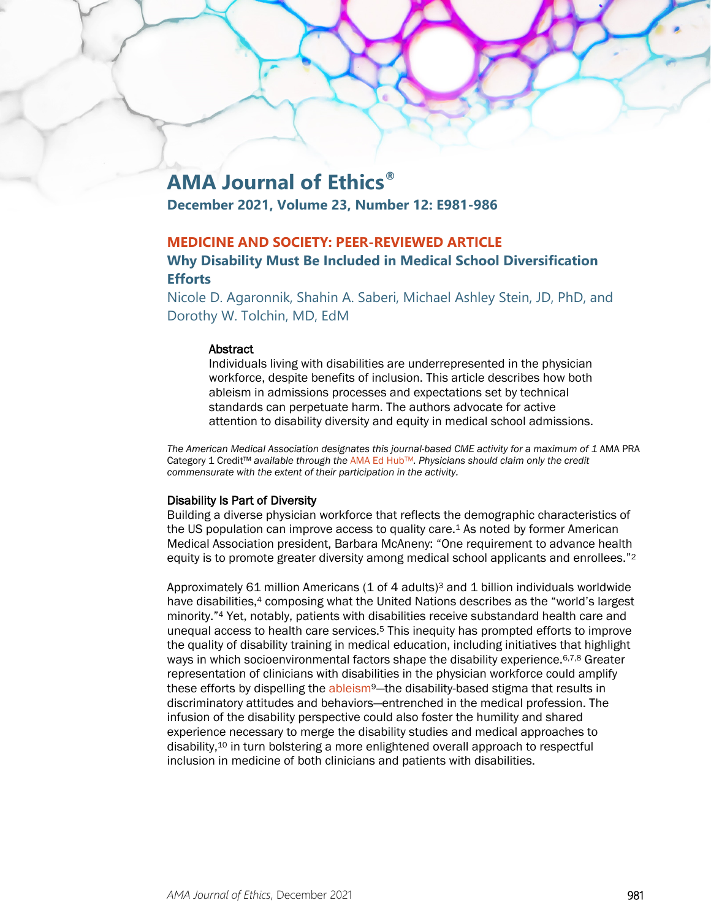# **AMA Journal of Ethics®**

**December 2021, Volume 23, Number 12: E981-986**

# **MEDICINE AND SOCIETY: PEER-REVIEWED ARTICLE**

# **Why Disability Must Be Included in Medical School Diversification Efforts**

Nicole D. Agaronnik, Shahin A. Saberi, Michael Ashley Stein, JD, PhD, and Dorothy W. Tolchin, MD, EdM

#### **Abstract**

Individuals living with disabilities are underrepresented in the physician workforce, despite benefits of inclusion. This article describes how both ableism in admissions processes and expectations set by technical standards can perpetuate harm. The authors advocate for active attention to disability diversity and equity in medical school admissions.

The American Medical Association designates this journal-based CME activity for a maximum of 1 AMA PRA Category 1 Credit™ *available through the* [AMA Ed HubTM](https://edhub.ama-assn.org/ama-journal-of-ethics/module/2786811)*. Physicians should claim only the credit commensurate with the extent of their participation in the activity.*

#### Disability Is Part of Diversity

Building a diverse physician workforce that reflects the demographic characteristics of the US population can improve access to quality care.1 As noted by former American Medical Association president, Barbara McAneny: "One requirement to advance health equity is to promote greater diversity among medical school applicants and enrollees."<sup>2</sup>

Approximately 61 million Americans  $(1 \text{ of } 4 \text{ adults})^3$  and 1 billion individuals worldwide have disabilities,<sup>4</sup> composing what the United Nations describes as the "world's largest minority."4 Yet, notably, patients with disabilities receive substandard health care and unequal access to health care services.5 This inequity has prompted efforts to improve the quality of disability training in medical education, including initiatives that highlight ways in which socioenvironmental factors shape the disability experience.<sup>6,7,8</sup> Greater representation of clinicians with disabilities in the physician workforce could amplify these efforts by dispelling the ableism<sup>9</sup>—the disability-based stigma that results in discriminatory attitudes and behaviors—entrenched in the medical profession. The infusion of the disability perspective could also foster the humility and shared experience necessary to merge the disability studies and medical approaches to disability,10 in turn bolstering a more enlightened overall approach to respectful inclusion in medicine of both clinicians and patients with disabilities.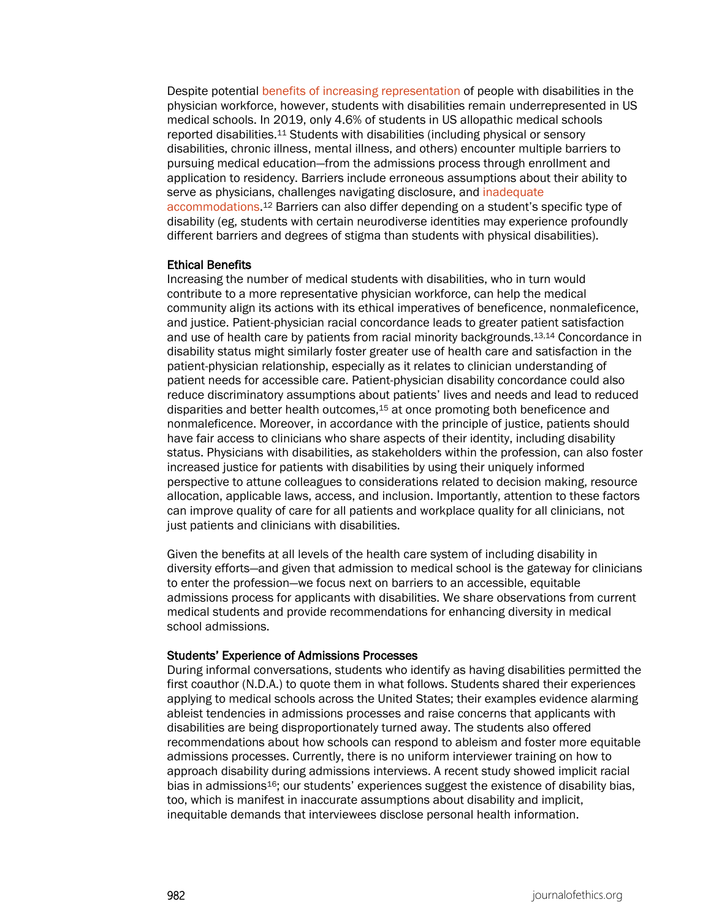Despite potential [benefits of increasing representation](https://journalofethics.ama-assn.org/article/why-increasing-numbers-physicians-disability-could-improve-care-patients-disability/2016-10) of people with disabilities in the physician workforce, however, students with disabilities remain underrepresented in US medical schools. In 2019, only 4.6% of students in US allopathic medical schools reported disabilities.11 Students with disabilities (including physical or sensory disabilities, chronic illness, mental illness, and others) encounter multiple barriers to pursuing medical education—from the admissions process through enrollment and application to residency. Barriers include erroneous assumptions about their ability to serve as physicians, challenges navigating disclosure, and [inadequate](https://journalofethics.ama-assn.org/article/technical-standards-and-lawsuits-involving-accommodations-health-professions-students/2016-10)  [accommodations.](https://journalofethics.ama-assn.org/article/technical-standards-and-lawsuits-involving-accommodations-health-professions-students/2016-10)12 Barriers can also differ depending on a student's specific type of disability (eg, students with certain neurodiverse identities may experience profoundly different barriers and degrees of stigma than students with physical disabilities).

#### Ethical Benefits

Increasing the number of medical students with disabilities, who in turn would contribute to a more representative physician workforce, can help the medical community align its actions with its ethical imperatives of beneficence, nonmaleficence, and justice. Patient-physician racial concordance leads to greater patient satisfaction and use of health care by patients from racial minority backgrounds.13,14 Concordance in disability status might similarly foster greater use of health care and satisfaction in the patient-physician relationship, especially as it relates to clinician understanding of patient needs for accessible care. Patient-physician disability concordance could also reduce discriminatory assumptions about patients' lives and needs and lead to reduced disparities and better health outcomes,15 at once promoting both beneficence and nonmaleficence. Moreover, in accordance with the principle of justice, patients should have fair access to clinicians who share aspects of their identity, including disability status. Physicians with disabilities, as stakeholders within the profession, can also foster increased justice for patients with disabilities by using their uniquely informed perspective to attune colleagues to considerations related to decision making, resource allocation, applicable laws, access, and inclusion. Importantly, attention to these factors can improve quality of care for all patients and workplace quality for all clinicians, not just patients and clinicians with disabilities.

Given the benefits at all levels of the health care system of including disability in diversity efforts—and given that admission to medical school is the gateway for clinicians to enter the profession—we focus next on barriers to an accessible, equitable admissions process for applicants with disabilities. We share observations from current medical students and provide recommendations for enhancing diversity in medical school admissions.

#### Students' Experience of Admissions Processes

During informal conversations, students who identify as having disabilities permitted the first coauthor (N.D.A.) to quote them in what follows. Students shared their experiences applying to medical schools across the United States; their examples evidence alarming ableist tendencies in admissions processes and raise concerns that applicants with disabilities are being disproportionately turned away. The students also offered recommendations about how schools can respond to ableism and foster more equitable admissions processes. Currently, there is no uniform interviewer training on how to approach disability during admissions interviews. A recent study showed implicit racial bias in admissions16; our students' experiences suggest the existence of disability bias, too, which is manifest in inaccurate assumptions about disability and implicit, inequitable demands that interviewees disclose personal health information.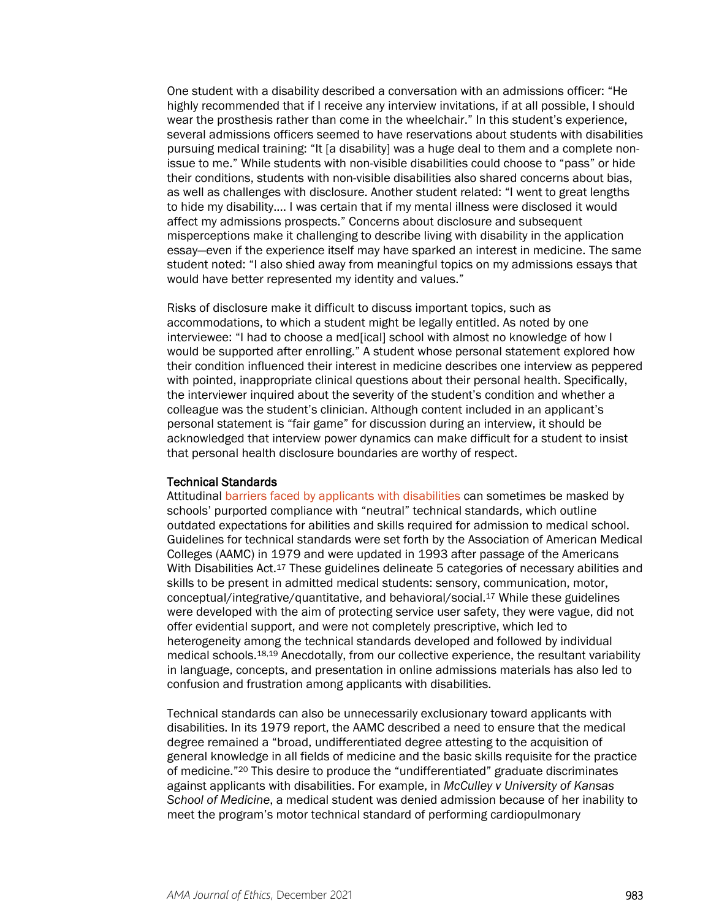One student with a disability described a conversation with an admissions officer: "He highly recommended that if I receive any interview invitations, if at all possible, I should wear the prosthesis rather than come in the wheelchair." In this student's experience, several admissions officers seemed to have reservations about students with disabilities pursuing medical training: "It [a disability] was a huge deal to them and a complete nonissue to me." While students with non-visible disabilities could choose to "pass" or hide their conditions, students with non-visible disabilities also shared concerns about bias, as well as challenges with disclosure. Another student related: "I went to great lengths to hide my disability.... I was certain that if my mental illness were disclosed it would affect my admissions prospects." Concerns about disclosure and subsequent misperceptions make it challenging to describe living with disability in the application essay—even if the experience itself may have sparked an interest in medicine. The same student noted: "I also shied away from meaningful topics on my admissions essays that would have better represented my identity and values."

Risks of disclosure make it difficult to discuss important topics, such as accommodations, to which a student might be legally entitled. As noted by one interviewee: "I had to choose a med[ical] school with almost no knowledge of how I would be supported after enrolling." A student whose personal statement explored how their condition influenced their interest in medicine describes one interview as peppered with pointed, inappropriate clinical questions about their personal health. Specifically, the interviewer inquired about the severity of the student's condition and whether a colleague was the student's clinician. Although content included in an applicant's personal statement is "fair game" for discussion during an interview, it should be acknowledged that interview power dynamics can make difficult for a student to insist that personal health disclosure boundaries are worthy of respect.

#### Technical Standards

Attitudinal [barriers faced by applicants with disabilities](https://journalofethics.ama-assn.org/article/unjustified-barriers-medical-school-applicants-physical-disabilities/2015-02) can sometimes be masked by schools' purported compliance with "neutral" technical standards, which outline outdated expectations for abilities and skills required for admission to medical school. Guidelines for technical standards were set forth by the Association of American Medical Colleges (AAMC) in 1979 and were updated in 1993 after passage of the Americans With Disabilities Act.<sup>17</sup> These guidelines delineate 5 categories of necessary abilities and skills to be present in admitted medical students: sensory, communication, motor, conceptual/integrative/quantitative, and behavioral/social.17 While these guidelines were developed with the aim of protecting service user safety, they were vague, did not offer evidential support, and were not completely prescriptive, which led to heterogeneity among the technical standards developed and followed by individual medical schools.18,19 Anecdotally, from our collective experience, the resultant variability in language, concepts, and presentation in online admissions materials has also led to confusion and frustration among applicants with disabilities.

Technical standards can also be unnecessarily exclusionary toward applicants with disabilities. In its 1979 report, the AAMC described a need to ensure that the medical degree remained a "broad, undifferentiated degree attesting to the acquisition of general knowledge in all fields of medicine and the basic skills requisite for the practice of medicine."20 This desire to produce the "undifferentiated" graduate discriminates against applicants with disabilities. For example, in *McCulley v University of Kansas School of Medicine*, a medical student was denied admission because of her inability to meet the program's motor technical standard of performing cardiopulmonary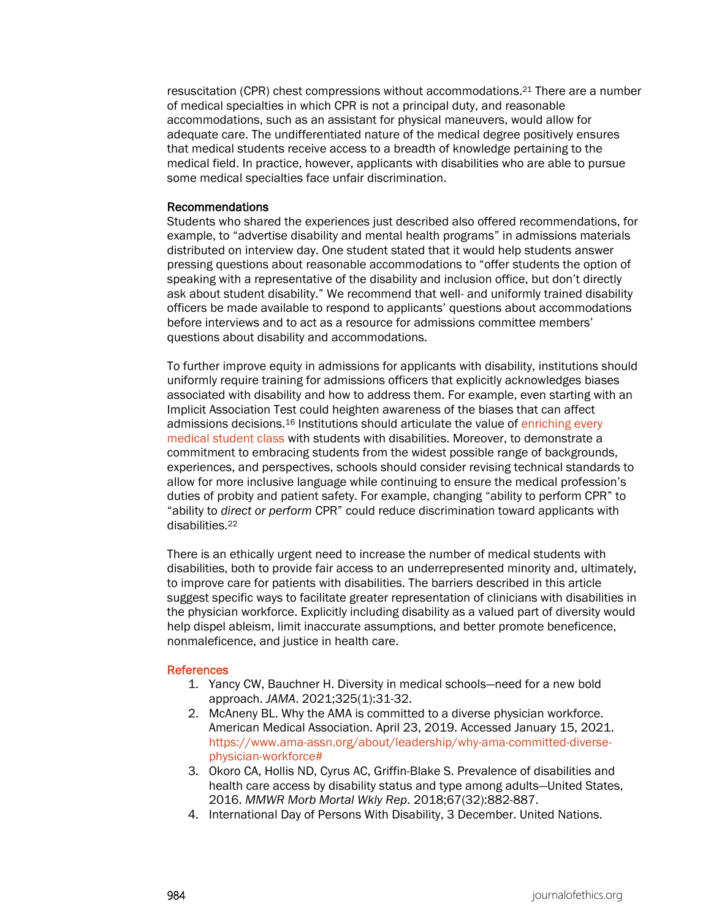resuscitation (CPR) chest compressions without accommodations.21 There are a number of medical specialties in which CPR is not a principal duty, and reasonable accommodations, such as an assistant for physical maneuvers, would allow for adequate care. The undifferentiated nature of the medical degree positively ensures that medical students receive access to a breadth of knowledge pertaining to the medical field. In practice, however, applicants with disabilities who are able to pursue some medical specialties face unfair discrimination.

#### Recommendations

Students who shared the experiences just described also offered recommendations, for example, to "advertise disability and mental health programs" in admissions materials distributed on interview day. One student stated that it would help students answer pressing questions about reasonable accommodations to "offer students the option of speaking with a representative of the disability and inclusion office, but don't directly ask about student disability." We recommend that well- and uniformly trained disability officers be made available to respond to applicants' questions about accommodations before interviews and to act as a resource for admissions committee members' questions about disability and accommodations.

To further improve equity in admissions for applicants with disability, institutions should uniformly require training for admissions officers that explicitly acknowledges biases associated with disability and how to address them. For example, even starting with an Implicit Association Test could heighten awareness of the biases that can affect admissions decisions.16 Institutions should articulate the value of [enriching every](https://journalofethics.ama-assn.org/article/learning-physicians-disabilities-and-their-patients/2016-10)  [medical student class](https://journalofethics.ama-assn.org/article/learning-physicians-disabilities-and-their-patients/2016-10) with students with disabilities. Moreover, to demonstrate a commitment to embracing students from the widest possible range of backgrounds, experiences, and perspectives, schools should consider revising technical standards to allow for more inclusive language while continuing to ensure the medical profession's duties of probity and patient safety. For example, changing "ability to perform CPR" to "ability to *direct or perform* CPR" could reduce discrimination toward applicants with disabilities.22

There is an ethically urgent need to increase the number of medical students with disabilities, both to provide fair access to an underrepresented minority and, ultimately, to improve care for patients with disabilities. The barriers described in this article suggest specific ways to facilitate greater representation of clinicians with disabilities in the physician workforce. Explicitly including disability as a valued part of diversity would help dispel ableism, limit inaccurate assumptions, and better promote beneficence, nonmaleficence, and justice in health care.

# References

- 1. Yancy CW, Bauchner H. Diversity in medical schools—need for a new bold approach. *JAMA*. 2021;325(1):31-32.
- 2. McAneny BL. Why the AMA is committed to a diverse physician workforce. American Medical Association. April 23, 2019. Accessed January 15, 2021. [https://www.ama-assn.org/about/leadership/why-ama-committed-diverse](https://www.ama-assn.org/about/leadership/why-ama-committed-diverse-physician-workforce)[physician-workforce#](https://www.ama-assn.org/about/leadership/why-ama-committed-diverse-physician-workforce)
- 3. Okoro CA, Hollis ND, Cyrus AC, Griffin-Blake S. Prevalence of disabilities and health care access by disability status and type among adults—United States, 2016. *MMWR Morb Mortal Wkly Rep*. 2018;67(32):882-887.
- 4. International Day of Persons With Disability, 3 December. United Nations.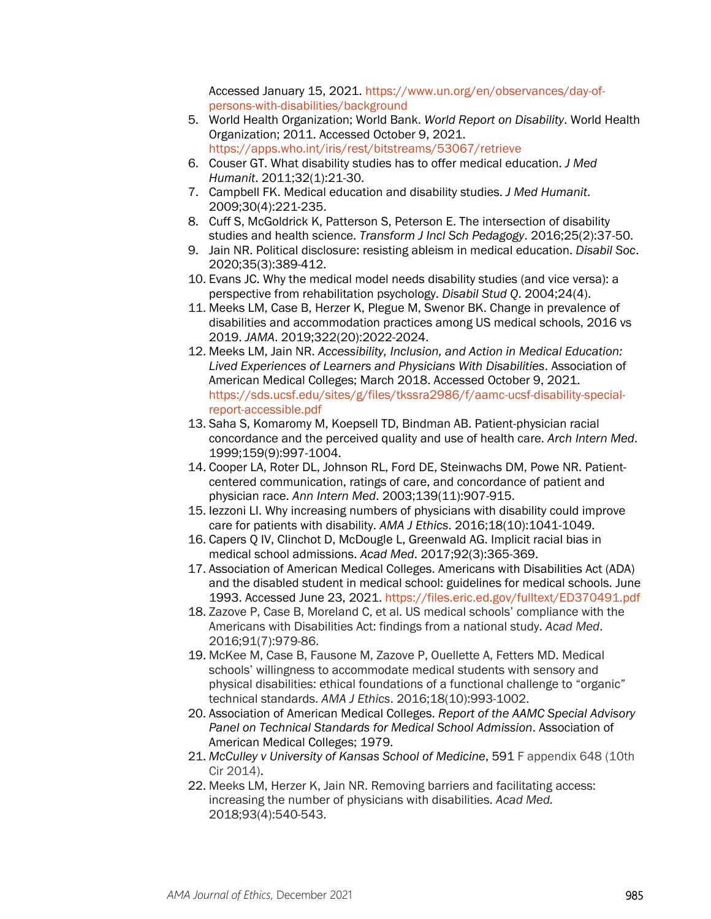Accessed January 15, 2021. [https://www.un.org/en/observances/day-of](https://www.un.org/en/observances/day-of-persons-with-disabilities/background)[persons-with-disabilities/background](https://www.un.org/en/observances/day-of-persons-with-disabilities/background)

- 5. World Health Organization; World Bank. *World Report on Disability*. World Health Organization; 2011. Accessed October 9, 2021. <https://apps.who.int/iris/rest/bitstreams/53067/retrieve>
- 6. Couser GT. What disability studies has to offer medical education. *J Med Humanit*. 2011;32(1):21-30.
- 7. Campbell FK. Medical education and disability studies. *J Med Humanit*. 2009;30(4):221-235.
- 8. Cuff S, McGoldrick K, Patterson S, Peterson E. The intersection of disability studies and health science. *Transform J Incl Sch Pedagogy*. 2016;25(2):37-50.
- 9. Jain NR. Political disclosure: resisting ableism in medical education. *Disabil Soc*. 2020;35(3):389-412.
- 10. Evans JC. Why the medical model needs disability studies (and vice versa): a perspective from rehabilitation psychology. *Disabil Stud Q*. 2004;24(4).
- 11. Meeks LM, Case B, Herzer K, Plegue M, Swenor BK. Change in prevalence of disabilities and accommodation practices among US medical schools, 2016 vs 2019. *JAMA*. 2019;322(20):2022-2024.
- 12. Meeks LM, Jain NR. *Accessibility, Inclusion, and Action in Medical Education: Lived Experiences of Learners and Physicians With Disabilities*. Association of American Medical Colleges; March 2018. Accessed October 9, 2021. [https://sds.ucsf.edu/sites/g/files/tkssra2986/f/aamc-ucsf-disability-special](https://sds.ucsf.edu/sites/g/files/tkssra2986/f/aamc-ucsf-disability-special-report-accessible.pdf)[report-accessible.pdf](https://sds.ucsf.edu/sites/g/files/tkssra2986/f/aamc-ucsf-disability-special-report-accessible.pdf)
- 13. Saha S, Komaromy M, Koepsell TD, Bindman AB. Patient-physician racial concordance and the perceived quality and use of health care. *Arch Intern Med*. 1999;159(9):997-1004.
- 14. Cooper LA, Roter DL, Johnson RL, Ford DE, Steinwachs DM, Powe NR. Patientcentered communication, ratings of care, and concordance of patient and physician race. *Ann Intern Med*. 2003;139(11):907-915.
- 15. Iezzoni LI. Why increasing numbers of physicians with disability could improve care for patients with disability. *AMA J Ethics*. 2016;18(10):1041-1049.
- 16. Capers Q IV, Clinchot D, McDougle L, Greenwald AG. Implicit racial bias in medical school admissions. *Acad Med*. 2017;92(3):365-369.
- 17. Association of American Medical Colleges. Americans with Disabilities Act (ADA) and the disabled student in medical school: guidelines for medical schools. June 1993. Accessed June 23, 2021.<https://files.eric.ed.gov/fulltext/ED370491.pdf>
- 18. Zazove P, Case B, Moreland C, et al. US medical schools' compliance with the Americans with Disabilities Act: findings from a national study. *Acad Med*. 2016;91(7):979-86.
- 19. McKee M, Case B, Fausone M, Zazove P, Ouellette A, Fetters MD. Medical schools' willingness to accommodate medical students with sensory and physical disabilities: ethical foundations of a functional challenge to "organic" technical standards. *AMA J Ethics*. 2016;18(10):993-1002.
- 20. Association of American Medical Colleges. *Report of the AAMC Special Advisory Panel on Technical Standards for Medical School Admission*. Association of American Medical Colleges; 1979.
- 21. *McCulley v University of Kansas School of Medicine*, 591 F appendix 648 (10th Cir 2014).
- 22. Meeks LM, Herzer K, Jain NR. Removing barriers and facilitating access: increasing the number of physicians with disabilities. *Acad Med.* 2018;93(4):540-543.